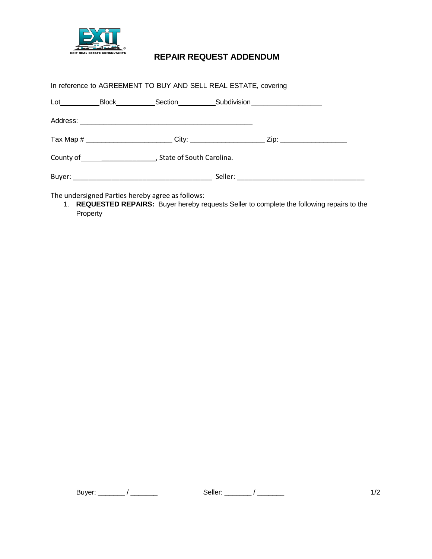

## **REPAIR REQUEST ADDENDUM**

In reference to AGREEMENT TO BUY AND SELL REAL ESTATE, covering

| Lot | Block                                                                                                                                                                                                                          | Section |  | _Subdivision ______________________                                                                  |  |
|-----|--------------------------------------------------------------------------------------------------------------------------------------------------------------------------------------------------------------------------------|---------|--|------------------------------------------------------------------------------------------------------|--|
|     |                                                                                                                                                                                                                                |         |  |                                                                                                      |  |
|     |                                                                                                                                                                                                                                |         |  | Tax Map # _________________________City: ________________________Zip: ______________________________ |  |
|     | County of County of County of County of County of County of County of County of County of County of County of County of County of County of County of County of County of County of County of County of County of County of Co |         |  |                                                                                                      |  |
|     |                                                                                                                                                                                                                                |         |  |                                                                                                      |  |

The undersigned Parties hereby agree as follows:

1. **REQUESTED REPAIRS:** Buyer hereby requests Seller to complete the following repairs to the Property